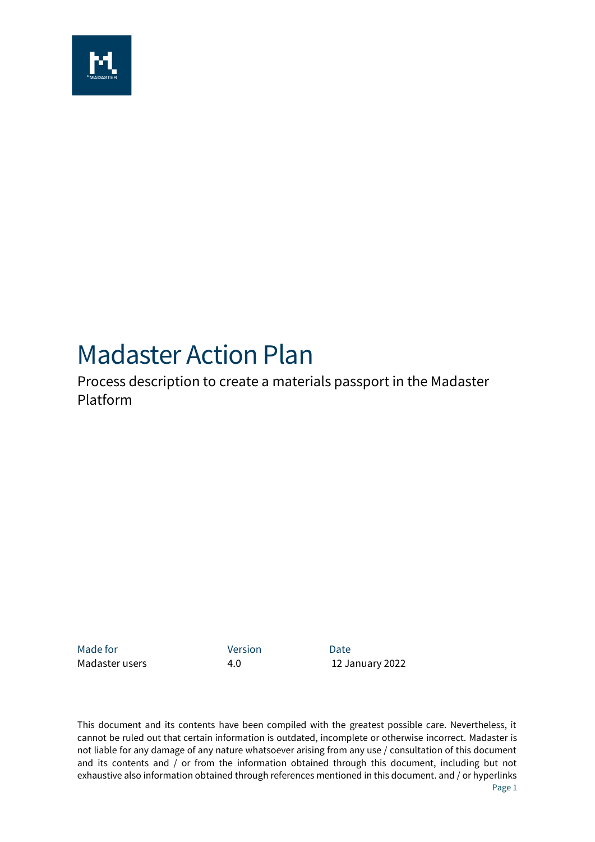

# Madaster Action Plan

Process description to create a materials passport in the Madaster Platform

Made for **Version Date** 

Madaster users **4.0** 12 January 2022

This document and its contents have been compiled with the greatest possible care. Nevertheless, it cannot be ruled out that certain information is outdated, incomplete or otherwise incorrect. Madaster is not liable for any damage of any nature whatsoever arising from any use / consultation of this document and its contents and / or from the information obtained through this document, including but not exhaustive also information obtained through references mentioned in this document. and / or hyperlinks Page 1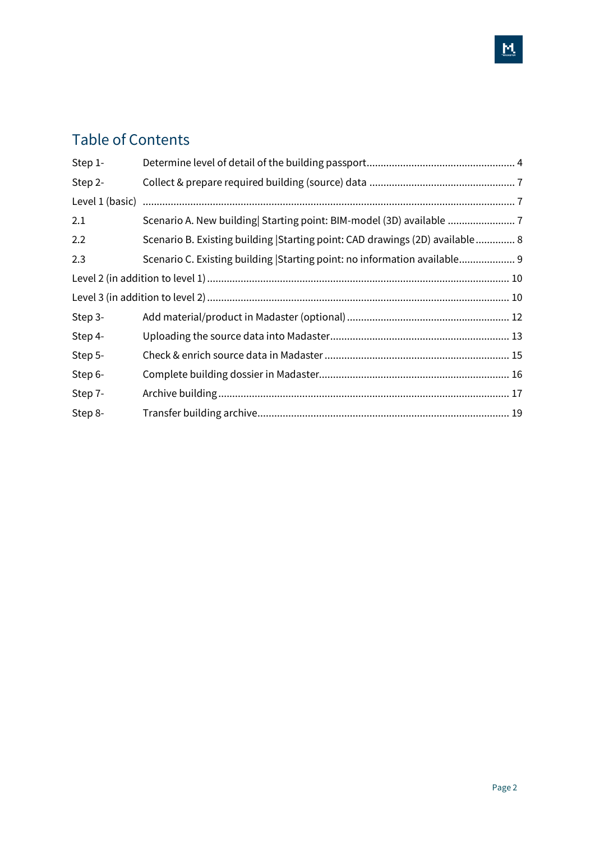# Table of Contents

| Step 1- |                                                                             |  |
|---------|-----------------------------------------------------------------------------|--|
| Step 2- |                                                                             |  |
|         |                                                                             |  |
| 2.1     | Scenario A. New building Starting point: BIM-model (3D) available           |  |
| 2.2     | Scenario B. Existing building Starting point: CAD drawings (2D) available 8 |  |
| 2.3     | Scenario C. Existing building Starting point: no information available 9    |  |
|         |                                                                             |  |
|         |                                                                             |  |
| Step 3- |                                                                             |  |
| Step 4- |                                                                             |  |
| Step 5- |                                                                             |  |
| Step 6- |                                                                             |  |
| Step 7- |                                                                             |  |
| Step 8- |                                                                             |  |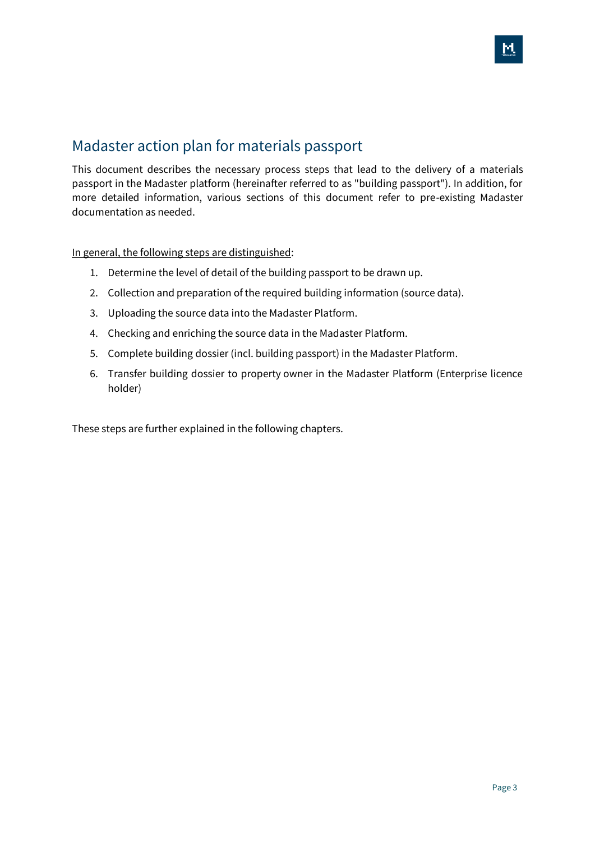### Madaster action plan for materials passport

This document describes the necessary process steps that lead to the delivery of a materials passport in the Madaster platform (hereinafter referred to as "building passport"). In addition, for more detailed information, various sections of this document refer to pre-existing Madaster documentation as needed.

In general, the following steps are distinguished:

- 1. Determine the level of detail of the building passport to be drawn up.
- 2. Collection and preparation of the required building information (source data).
- 3. Uploading the source data into the Madaster Platform.
- 4. Checking and enriching the source data in the Madaster Platform.
- 5. Complete building dossier (incl. building passport) in the Madaster Platform.
- 6. Transfer building dossier to property owner in the Madaster Platform (Enterprise licence holder)

These steps are further explained in the following chapters.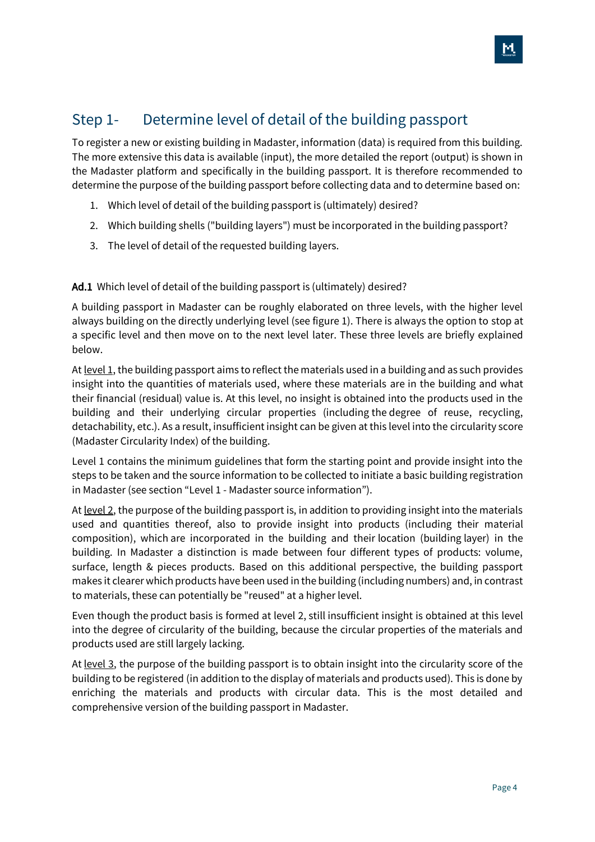### <span id="page-3-0"></span>Step 1- Determine level of detail of the building passport

To register a new or existing building in Madaster, information (data) is required from this building. The more extensive this data is available (input), the more detailed the report (output) is shown in the Madaster platform and specifically in the building passport. It is therefore recommended to determine the purpose of the building passport before collecting data and to determine based on:

- <span id="page-3-1"></span>1. Which level of detail of the building passport is (ultimately) desired?
- <span id="page-3-2"></span>2. Which building shells ("building layers") must be incorporated in the building passport?
- <span id="page-3-3"></span>3. The level of detail of the requested building layers.

Ad[.1 Which level of detail of the building passport is \(ultimately\)](#page-3-1) desired?

A building passport in Madaster can be roughly elaborated on three levels, with the higher level always building on the directly underlying level (see figure 1). There is always the option to stop at a specific level and then move on to the next level later. These three levels are briefly explained below.

At <u>level 1</u>, the building passport aims to reflect the materials used in a building and as such provides insight into the quantities of materials used, where these materials are in the building and what their financial (residual) value is. At this level, no insight is obtained into the products used in the building and their underlying circular properties (including the degree of reuse, recycling, detachability, etc.). As a result, insufficient insight can be given at this level into the circularity score (Madaster Circularity Index) of the building.

Level 1 contains the minimum guidelines that form the starting point and provide insight into the steps to be taken and the source information to be collected to initiate a basic building registration in Madaster (see section "Level 1 - Madaster source information").

At level 2, the purpose of the building passport is, in addition to providing insight into the materials used and quantities thereof, also to provide insight into products (including their material composition), which are incorporated in the building and their location (building layer) in the building. In Madaster a distinction is made between four different types of products: volume, surface, length & pieces products. Based on this additional perspective, the building passport makes it clearer which products have been used in the building (including numbers) and, in contrast to materials, these can potentially be "reused" at a higher level.

Even though the product basis is formed at level 2, still insufficient insight is obtained at this level into the degree of circularity of the building, because the circular properties of the materials and products used are still largely lacking.

At level 3, the purpose of the building passport is to obtain insight into the circularity score of the building to be registered (in addition to the display of materials and products used). This is done by enriching the materials and products with circular data. This is the most detailed and comprehensive version of the building passport in Madaster.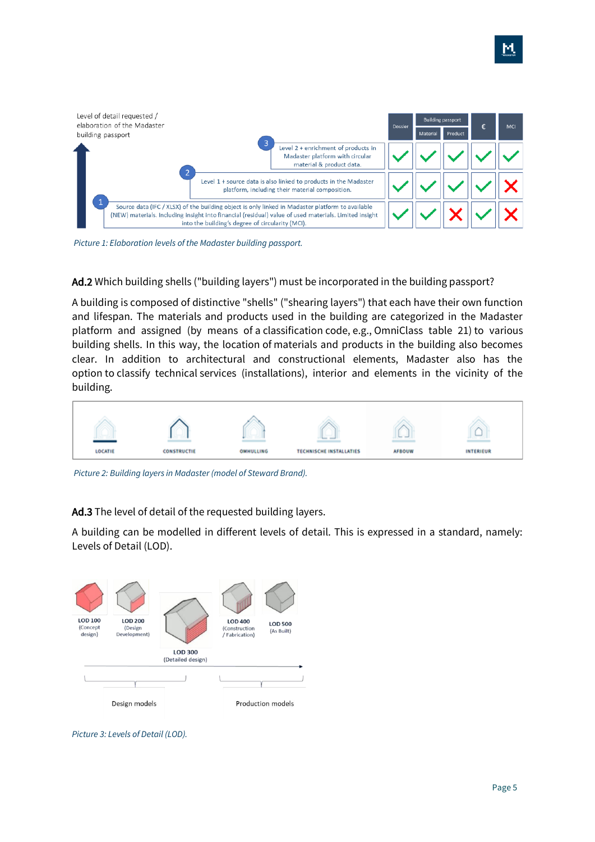

*Picture 1: Elaboration levels of the Madaster building passport.*

Ad[.2 W](#page-3-2)hich building shells ("building [layers"\) must be incorporated in the building passport?](#page-3-2)

A building is composed of distinctive "shells" ("shearing layers") that each have their own function and lifespan. The materials and products used in the building are categorized in the Madaster platform and assigned (by means of a classification code, e.g., OmniClass table 21) to various building shells. In this way, the location of materials and products in the building also becomes clear. In addition to architectural and constructional elements, Madaster also has the option to classify technical services (installations), interior and elements in the vicinity of the building.



*Picture 2: Building layers in Madaster (model of Steward Brand).*

Ad[.3 The level of detail of the requested building](#page-3-3) layers.

A building can be modelled in different levels of detail. This is expressed in a standard, namely: Levels of Detail (LOD).



*Picture 3: Levels of Detail (LOD).*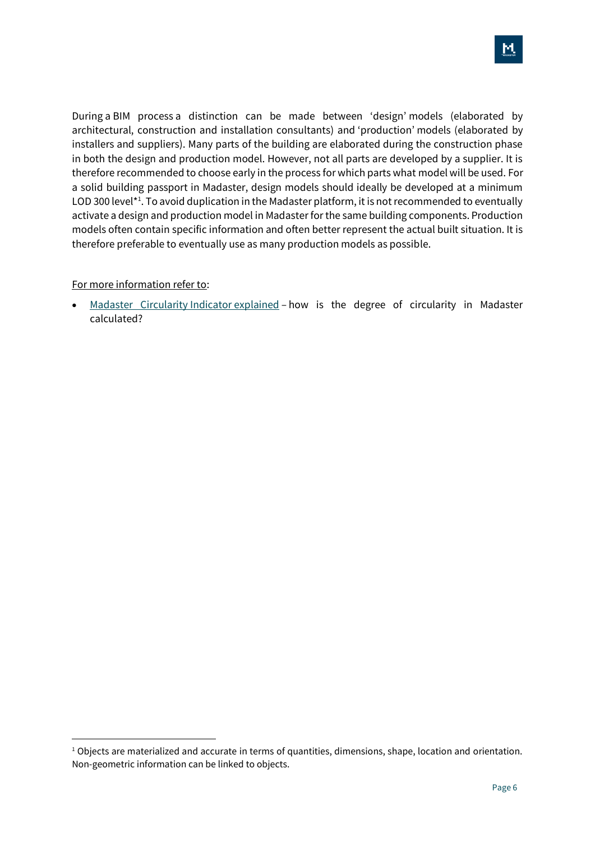During a BIM process a distinction can be made between 'design' models (elaborated by architectural, construction and installation consultants) and 'production' models (elaborated by installers and suppliers). Many parts of the building are elaborated during the construction phase in both the design and production model. However, not all parts are developed by a supplier. It is therefore recommended to choose early in the process for which parts what model will be used. For a solid building passport in Madaster, design models should ideally be developed at a minimum LOD 300 level<sup>\*1</sup>. To avoid duplication in the Madaster platform, it is not recommended to eventually activate a design and production model in Madaster for the same building components. Production models often contain specific information and often better represent the actual built situation. It is therefore preferable to eventually use as many production models as possible.

#### For more information refer to:

[Madaster Circularity](https://docs.madaster.com/nl/en/) Indicator explained – how is the degree of circularity in Madaster calculated?

 $1$  Objects are materialized and accurate in terms of quantities, dimensions, shape, location and orientation. Non-geometric information can be linked to objects.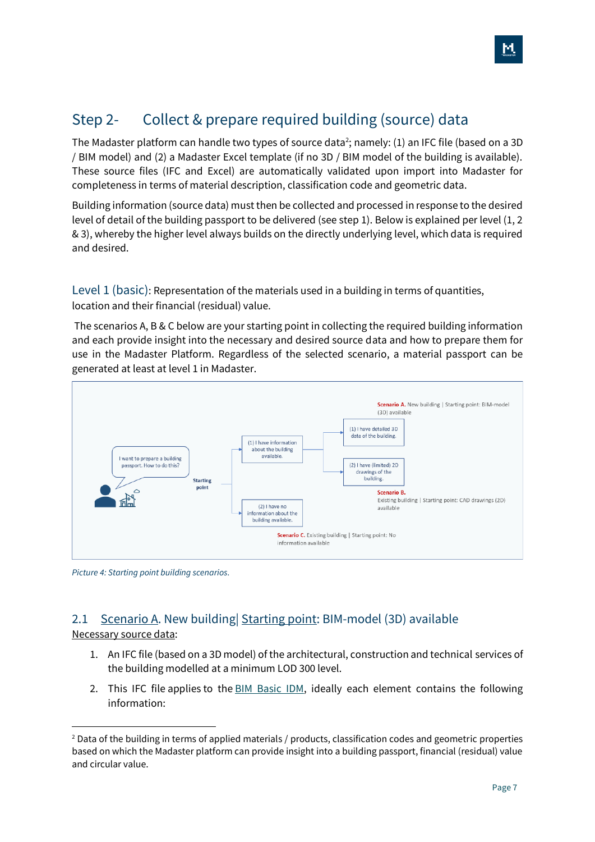# <span id="page-6-0"></span>Step 2- Collect & prepare required building (source) data

The Madaster platform can handle two types of source data<sup>2</sup>; namely: (1) an IFC file (based on a 3D / BIM model) and (2) a Madaster Excel template (if no 3D / BIM model of the building is available). These source files (IFC and Excel) are automatically validated upon import into Madaster for completeness in terms of material description, classification code and geometric data.

Building information (source data) must then be collected and processed in response to the desired level of detail of the building passport to be delivered (see step 1). Below is explained per level (1, 2 & 3), whereby the higher level always builds on the directly underlying level, which data is required and desired.

<span id="page-6-1"></span>Level 1 (basic): Representation of the materials used in a building in terms of quantities, location and their financial (residual) value.

The scenarios A, B & C below are your starting point in collecting the required building information and each provide insight into the necessary and desired source data and how to prepare them for use in the Madaster Platform. Regardless of the selected scenario, a material passport can be generated at least at level 1 in Madaster.



*Picture 4: Starting point building scenarios.*

#### <span id="page-6-2"></span>2.1 Scenario A. New building Starting point: BIM-model (3D) available Necessary source data:

- 1. An IFC file (based on a 3D model) of the architectural, construction and technical services of the building modelled at a minimum LOD 300 level.
- 2. This IFC file applies to the [BIM Basic IDM,](https://www.bimloket.nl/documents/BIM_basis_ILS_v1_0_ENG.pdf) ideally each element contains the following information:

<sup>&</sup>lt;sup>2</sup> Data of the building in terms of applied materials / products, classification codes and geometric properties based on which the Madaster platform can provide insight into a building passport, financial (residual) value and circular value.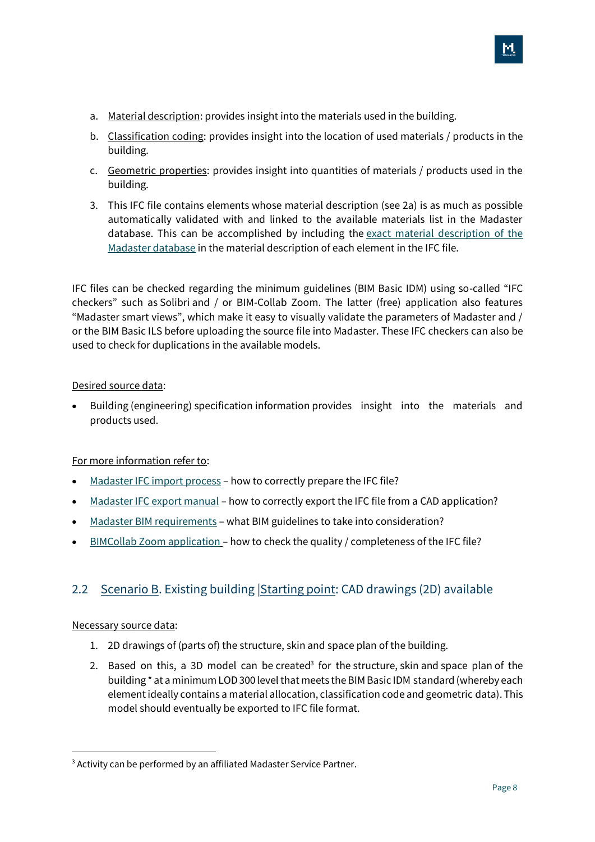- a. Material description: provides insight into the materials used in the building.
- b. Classification coding: provides insight into the location of used materials / products in the building.
- c. Geometric properties: provides insight into quantities of materials / products used in the building.
- 3. This IFC file contains elements whose material description (see 2a) is as much as possible automatically validated with and linked to the available materials list in the Madaster database. This can be accomplished by including the [exact material description of the](https://docs.madaster.com/files/Madaster%20Materiaal%20Lijst%202019%20NL%20UK.xlsx)  [Madaster database](https://docs.madaster.com/files/Madaster%20Materiaal%20Lijst%202019%20NL%20UK.xlsx) in the material description of each element in the IFC file.

IFC files can be checked regarding the minimum guidelines (BIM Basic IDM) using so-called "IFC checkers" such as Solibri and / or BIM-Collab Zoom. The latter (free) application also features "Madaster smart views", which make it easy to visually validate the parameters of Madaster and / or the BIM Basic ILS before uploading the source file into Madaster. These IFC checkers can also be used to check for duplications in the available models.

#### Desired source data:

• Building (engineering) specification information provides insight into the materials and products used.

#### For more information refer to:

- [Madaster IFC import process](https://docs.madaster.com/nl/en/) how to correctly prepare the IFC file?
- [Madaster IFC export manual](https://docs.madaster.com/nl/en/) how to correctly export the IFC file from a CAD application?
- [Madaster BIM requirements](https://docs.madaster.com/nl/en/) what BIM guidelines to take into consideration?
- [BIMCollab Zoom application](https://docs.madaster.com/nl/en/) how to check the quality / completeness of the IFC file?

### <span id="page-7-0"></span>2.2 Scenario B. Existing building Starting point: CAD drawings (2D) available

#### Necessary source data:

- 1. 2D drawings of (parts of) the structure, skin and space plan of the building.
- 2. Based on this, a 3D model can be created<sup>3</sup> for the structure, skin and space plan of the building \* at a minimum LOD 300 level that meets the BIM Basic IDM standard (whereby each element ideally contains a material allocation, classification code and geometric data). This model should eventually be exported to IFC file format.

<sup>&</sup>lt;sup>3</sup> Activity can be performed by an affiliated Madaster Service Partner.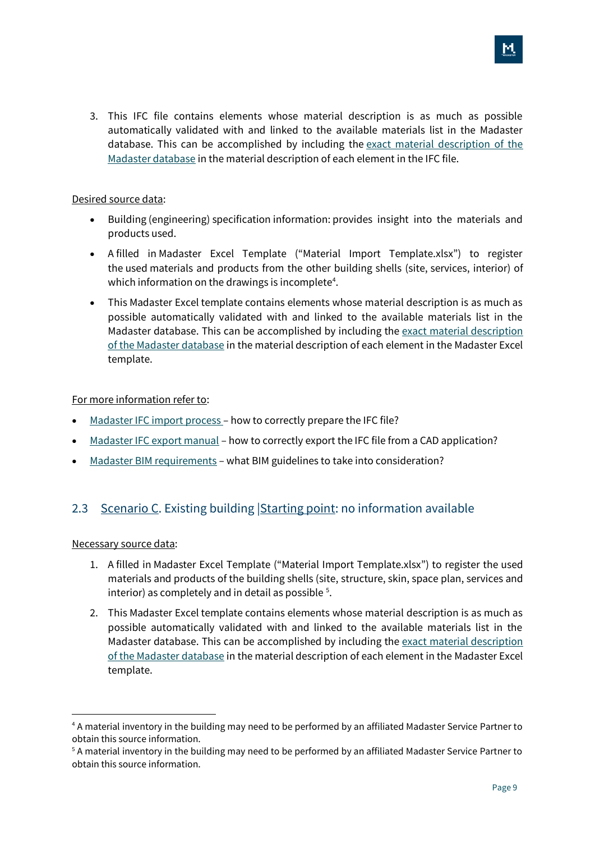3. This IFC file contains elements whose material description is as much as possible automatically validated with and linked to the available materials list in the Madaster database. This can be accomplished by including the [exact material description of the](https://docs.madaster.com/nl/en/)  [Madaster database](https://docs.madaster.com/nl/en/) in the material description of each element in the IFC file.

#### Desired source data:

- Building (engineering) specification information: provides insight into the materials and products used.
- A filled in Madaster Excel Template ("Material Import Template.xlsx") to register the used materials and products from the other building shells (site, services, interior) of which information on the drawings is incomplete<sup>4</sup>.
- This Madaster Excel template contains elements whose material description is as much as possible automatically validated with and linked to the available materials list in the Madaster database. This can be accomplished by including the [exact material description](https://docs.madaster.com/nl/en/)  [of the Madaster database](https://docs.madaster.com/nl/en/) in the material description of each element in the Madaster Excel template.

#### For more information refer to:

- [Madaster IFC import process](https://docs.madaster.com/nl/en/) how to correctly prepare the IFC file?
- [Madaster IFC export manual](https://docs.madaster.com/nl/en/) how to correctly export the IFC file from a CAD application?
- [Madaster BIM requirements](https://docs.madaster.com/nl/en/) what BIM guidelines to take into consideration?

#### <span id="page-8-0"></span>2.3 Scenario C. Existing building Starting point: no information available

#### Necessary source data:

- 1. A filled in Madaster Excel Template ("Material Import Template.xlsx") to register the used materials and products of the building shells (site, structure, skin, space plan, services and interior) as completely and in detail as possible <sup>5</sup>.
- 2. This Madaster Excel template contains elements whose material description is as much as possible automatically validated with and linked to the available materials list in the Madaster database. This can be accomplished by including the [exact material description](https://docs.madaster.com/nl/en/)  [of the Madaster database](https://docs.madaster.com/nl/en/) in the material description of each element in the Madaster Excel template.

<sup>4</sup> A material inventory in the building may need to be performed by an affiliated Madaster Service Partner to obtain this source information.

<sup>5</sup> A material inventory in the building may need to be performed by an affiliated Madaster Service Partner to obtain this source information.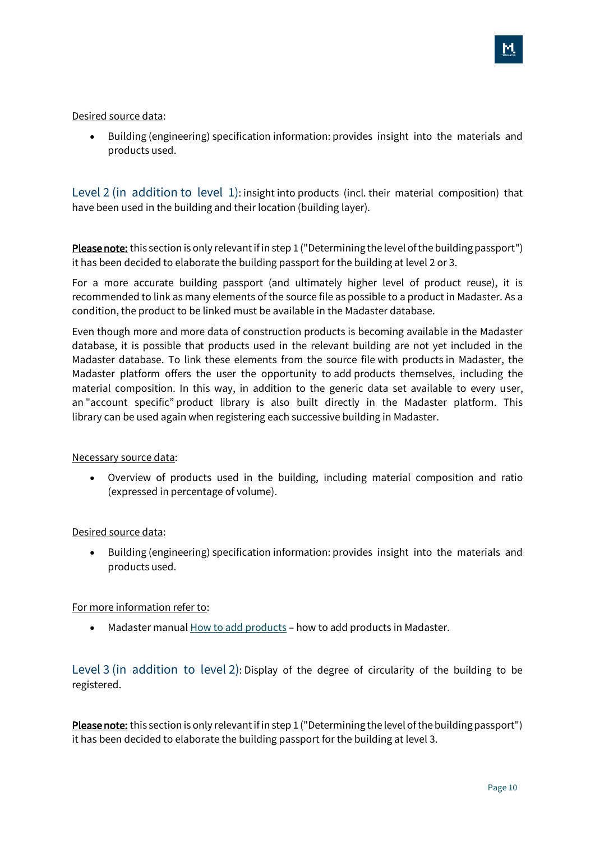#### Desired source data:

• Building (engineering) specification information: provides insight into the materials and products used.

<span id="page-9-0"></span>Level 2 (in addition to level 1): insight into products (incl. their material composition) that have been used in the building and their location (building layer).

Please note: this section is only relevant if in step 1 ("Determining the level of the building passport") it has been decided to elaborate the building passport for the building at level 2 or 3.

For a more accurate building passport (and ultimately higher level of product reuse), it is recommended to link as many elements of the source file as possible to a product in Madaster. As a condition, the product to be linked must be available in the Madaster database.

Even though more and more data of construction products is becoming available in the Madaster database, it is possible that products used in the relevant building are not yet included in the Madaster database. To link these elements from the source file with products in Madaster, the Madaster platform offers the user the opportunity to add products themselves, including the material composition. In this way, in addition to the generic data set available to every user, an "account specific" product library is also built directly in the Madaster platform. This library can be used again when registering each successive building in Madaster.

#### Necessary source data:

• Overview of products used in the building, including material composition and ratio (expressed in percentage of volume).

#### Desired source data:

• Building (engineering) specification information: provides insight into the materials and products used.

#### For more information refer to:

• Madaster manual [How to add products](https://docs.madaster.com/files/Madaster_Manual_Add_Products_v1.0.pdf) - how to add products in Madaster.

<span id="page-9-1"></span>Level 3 (in addition to level 2): Display of the degree of circularity of the building to be registered.

Please note: this section is only relevant if in step 1 ("Determining the level of the building passport") it has been decided to elaborate the building passport for the building at level 3.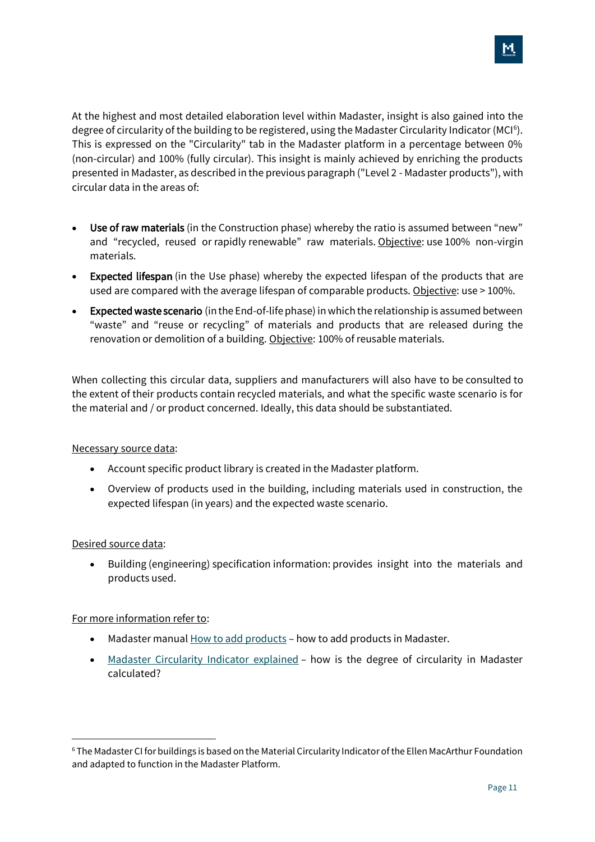At the highest and most detailed elaboration level within Madaster, insight is also gained into the degree of circularity of the building to be registered, using the Madaster Circularity Indicator (MCI<sup>6</sup>). This is expressed on the "Circularity" tab in the Madaster platform in a percentage between 0% (non-circular) and 100% (fully circular). This insight is mainly achieved by enriching the products presented in Madaster, as described in the previous paragraph ("Level 2 - Madaster products"), with circular data in the areas of:

- Use of raw materials (in the Construction phase) whereby the ratio is assumed between "new" and "recycled, reused or rapidly renewable" raw materials. Objective: use 100% non-virgin materials.
- Expected lifespan (in the Use phase) whereby the expected lifespan of the products that are used are compared with the average lifespan of comparable products. Objective: use > 100%.
- Expected waste scenario (in the End-of-life phase) in which the relationship is assumed between "waste" and "reuse or recycling" of materials and products that are released during the renovation or demolition of a building. Objective: 100% of reusable materials.

When collecting this circular data, suppliers and manufacturers will also have to be consulted to the extent of their products contain recycled materials, and what the specific waste scenario is for the material and / or product concerned. Ideally, this data should be substantiated.

#### Necessary source data:

- Account specific product library is created in the Madaster platform.
- Overview of products used in the building, including materials used in construction, the expected lifespan (in years) and the expected waste scenario.

#### Desired source data:

• Building (engineering) specification information: provides insight into the materials and products used.

#### For more information refer to:

- Madaster manual [How to add products](https://docs.madaster.com/nl/en/) how to add products in Madaster.
- [Madaster Circularity Indicator explained](https://docs.madaster.com/nl/en/) how is the degree of circularity in Madaster calculated?

<sup>6</sup> The Madaster CI for buildings is based on the Material Circularity Indicator of the Ellen MacArthur Foundation and adapted to function in the Madaster Platform.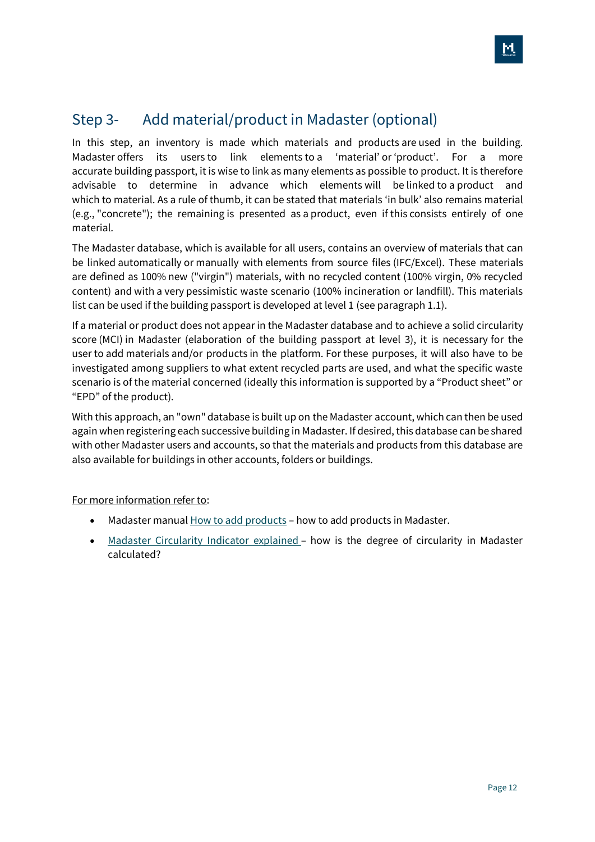### <span id="page-11-0"></span>Step 3- Add material/product in Madaster (optional)

In this step, an inventory is made which materials and products are used in the building. Madaster offers its users to link elements to a 'material' or 'product'. For a more accurate building passport, it is wise to link as many elements as possible to product. It is therefore advisable to determine in advance which elements will be linked to a product and which to material. As a rule of thumb, it can be stated that materials 'in bulk' also remains material (e.g., "concrete"); the remaining is presented as a product, even if this consists entirely of one material.

The Madaster database, which is available for all users, contains an overview of materials that can be linked automatically or manually with elements from source files (IFC/Excel). These materials are defined as 100% new ("virgin") materials, with no recycled content (100% virgin, 0% recycled content) and with a very pessimistic waste scenario (100% incineration or landfill). This materials list can be used if the building passport is developed at level 1 (see paragraph 1.1).

If a material or product does not appear in the Madaster database and to achieve a solid circularity score (MCI) in Madaster (elaboration of the building passport at level 3), it is necessary for the user to add materials and/or products in the platform. For these purposes, it will also have to be investigated among suppliers to what extent recycled parts are used, and what the specific waste scenario is of the material concerned (ideally this information is supported by a "Product sheet" or "EPD" of the product).

With this approach, an "own" database is built up on the Madaster account, which can then be used again when registering each successive building in Madaster. If desired, this database can be shared with other Madaster users and accounts, so that the materials and products from this database are also available for buildings in other accounts, folders or buildings.

For more information refer to:

- Madaster manual **[How to add products](https://docs.madaster.com/nl/en/)** how to add products in Madaster.
- [Madaster Circularity Indicator explained](https://docs.madaster.com/nl/en/) how is the degree of circularity in Madaster calculated?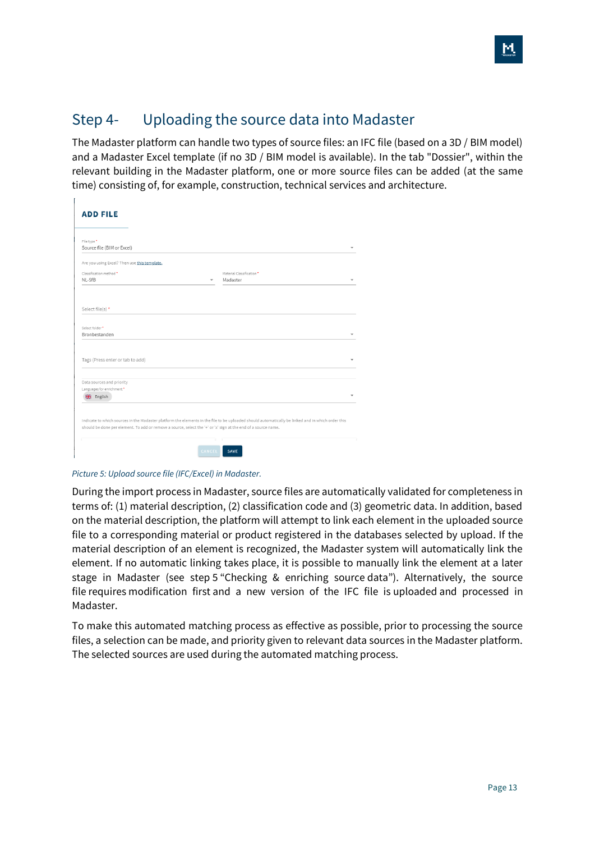### <span id="page-12-0"></span>Step 4- Uploading the source data into Madaster

The Madaster platform can handle two types of source files: an IFC file (based on a 3D / BIM model) and a Madaster Excel template (if no 3D / BIM model is available). In the tab "Dossier", within the relevant building in the Madaster platform, one or more source files can be added (at the same time) consisting of, for example, construction, technical services and architecture.

| <b>ADD FILE</b>                                                                                                                                                                                                                                                     |        |                                      |  |
|---------------------------------------------------------------------------------------------------------------------------------------------------------------------------------------------------------------------------------------------------------------------|--------|--------------------------------------|--|
|                                                                                                                                                                                                                                                                     |        |                                      |  |
| File type *<br>Source file (BIM or Excel)                                                                                                                                                                                                                           |        |                                      |  |
| Are you using Excel? Then use this template.                                                                                                                                                                                                                        |        |                                      |  |
| Classification method *<br>NI-SfB                                                                                                                                                                                                                                   | ÷      | Material Classification*<br>Madaster |  |
| Select file(s) *                                                                                                                                                                                                                                                    |        |                                      |  |
| Select folder*<br>Bronbestanden                                                                                                                                                                                                                                     |        |                                      |  |
| Tags (Press enter or tab to add)                                                                                                                                                                                                                                    |        |                                      |  |
| Data sources and priority                                                                                                                                                                                                                                           |        |                                      |  |
| Languages for enrichment*<br><b>米</b> English                                                                                                                                                                                                                       |        |                                      |  |
| Indicate to which sources in the Madaster platform the elements in the file to be uploaded should automatically be linked and in which order this<br>should be done per element. To add or remove a source, select the '+' or 'x' sign at the end of a source name. |        |                                      |  |
|                                                                                                                                                                                                                                                                     | CANCEL | <b>SAVE</b>                          |  |

*Picture 5: Upload source file (IFC/Excel) in Madaster.*

 $\mathbf{r}$ 

During the import process in Madaster, source files are automatically validated for completeness in terms of: (1) material description, (2) classification code and (3) geometric data. In addition, based on the material description, the platform will attempt to link each element in the uploaded source file to a corresponding material or product registered in the databases selected by upload. If the material description of an element is recognized, the Madaster system will automatically link the element. If no automatic linking takes place, it is possible to manually link the element at a later stage in Madaster (see step 5 "Checking & enriching source data"). Alternatively, the source file requires modification first and a new version of the IFC file is uploaded and processed in Madaster.

To make this automated matching process as effective as possible, prior to processing the source files, a selection can be made, and priority given to relevant data sources in the Madaster platform. The selected sources are used during the automated matching process.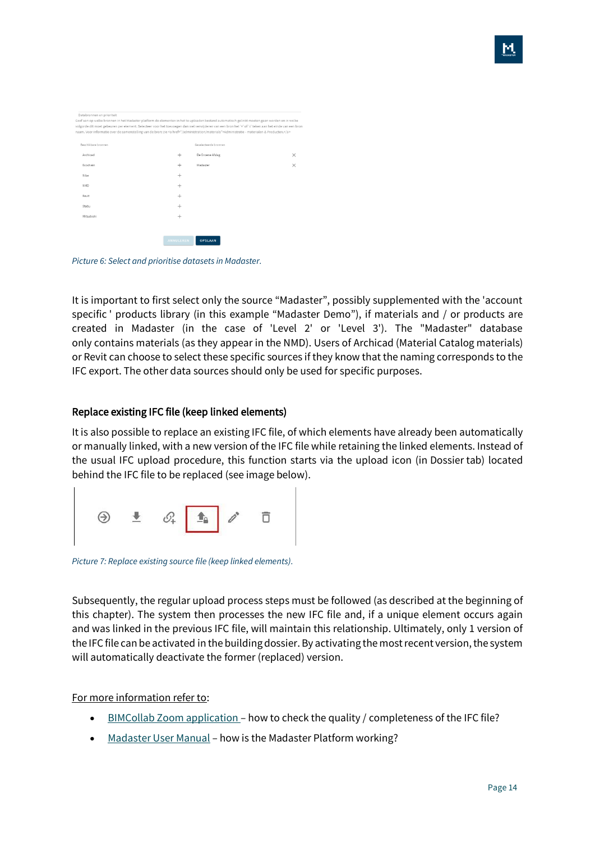| Databronnen en prioriteit                                                                                                                          |           |                       |          |
|----------------------------------------------------------------------------------------------------------------------------------------------------|-----------|-----------------------|----------|
| Geef aan op welke bronnen in het Madaster platform de elementen in het te uploaden bestand automatisch gelinkt moeten gaan worden en in welk       |           |                       |          |
| volgorde dit moet gebeuren per element. Selecteer voor het toevoegen dan wel verwijderen van een bron het '+' of 'x' teken aan het einde van een i |           |                       |          |
| naam. Voor informatie over de samenstelling van de bron: zie <a href="/administration/materials">Administratie - materialen &amp; Producten.</a>   |           |                       |          |
| Beschikbare bronnen                                                                                                                                |           | Geselecteerde bronnen |          |
| Archicad                                                                                                                                           | $^{+}$    | De Groene Afslag      | $\times$ |
| Ecochain                                                                                                                                           | $^{+}$    | Madaster              | $\times$ |
| Nibe                                                                                                                                               | $\pm$     |                       |          |
| <b>NMD</b>                                                                                                                                         | $^{+}$    |                       |          |
| Revit                                                                                                                                              | $^{+}$    |                       |          |
| Stabu                                                                                                                                              | ÷         |                       |          |
| Mitsubishi                                                                                                                                         | $^{+}$    |                       |          |
|                                                                                                                                                    |           |                       |          |
|                                                                                                                                                    | ANNULEREN | <b>OPSLAAN</b>        |          |

*Picture 6: Select and prioritise datasets in Madaster.*

It is important to first select only the source "Madaster", possibly supplemented with the 'account specific ' products library (in this example "Madaster Demo"), if materials and / or products are created in Madaster (in the case of 'Level 2' or 'Level 3'). The "Madaster" database only contains materials (as they appear in the NMD). Users of Archicad (Material Catalog materials) or Revit can choose to select these specific sources if they know that the naming corresponds to the IFC export. The other data sources should only be used for specific purposes.

#### Replace existing IFC file (keep linked elements)

It is also possible to replace an existing IFC file, of which elements have already been automatically or manually linked, with a new version of the IFC file while retaining the linked elements. Instead of the usual IFC upload procedure, this function starts via the upload icon (in Dossier tab) located behind the IFC file to be replaced (see image below).



*Picture 7: Replace existing source file (keep linked elements).*

Subsequently, the regular upload process steps must be followed (as described at the beginning of this chapter). The system then processes the new IFC file and, if a unique element occurs again and was linked in the previous IFC file, will maintain this relationship. Ultimately, only 1 version of the IFC file can be activated in the building dossier. By activating the most recent version, the system will automatically deactivate the former (replaced) version.

For more information refer to:

- [BIMCollab Zoom application](https://docs.madaster.com/nl/en/) how to check the quality / completeness of the IFC file?
- [Madaster User Manual](https://docs.madaster.com/nl/en/) how is the Madaster Platform working?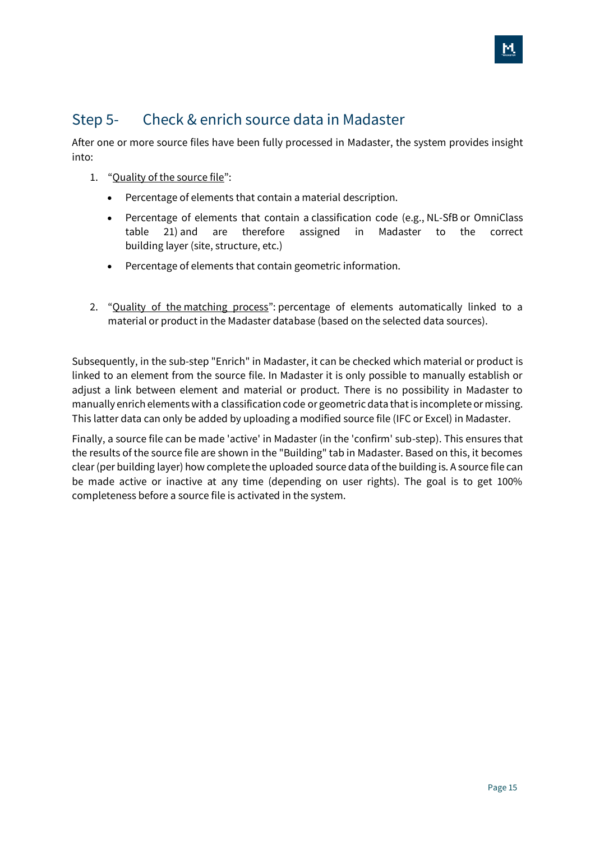### <span id="page-14-0"></span>Step 5- Check & enrich source data in Madaster

After one or more source files have been fully processed in Madaster, the system provides insight into:

- 1. "Quality of the source file":
	- Percentage of elements that contain a material description.
	- Percentage of elements that contain a classification code (e.g., NL-SfB or OmniClass table 21) and are therefore assigned in Madaster to the correct building layer (site, structure, etc.)
	- Percentage of elements that contain geometric information.
- 2. "Quality of the matching process": percentage of elements automatically linked to a material or product in the Madaster database (based on the selected data sources).

Subsequently, in the sub-step "Enrich" in Madaster, it can be checked which material or product is linked to an element from the source file. In Madaster it is only possible to manually establish or adjust a link between element and material or product. There is no possibility in Madaster to manually enrich elements with a classification code or geometric data that is incomplete or missing. This latter data can only be added by uploading a modified source file (IFC or Excel) in Madaster.

Finally, a source file can be made 'active' in Madaster (in the 'confirm' sub-step). This ensures that the results of the source file are shown in the "Building" tab in Madaster. Based on this, it becomes clear (per building layer) how complete the uploaded source data of the building is. A source file can be made active or inactive at any time (depending on user rights). The goal is to get 100% completeness before a source file is activated in the system.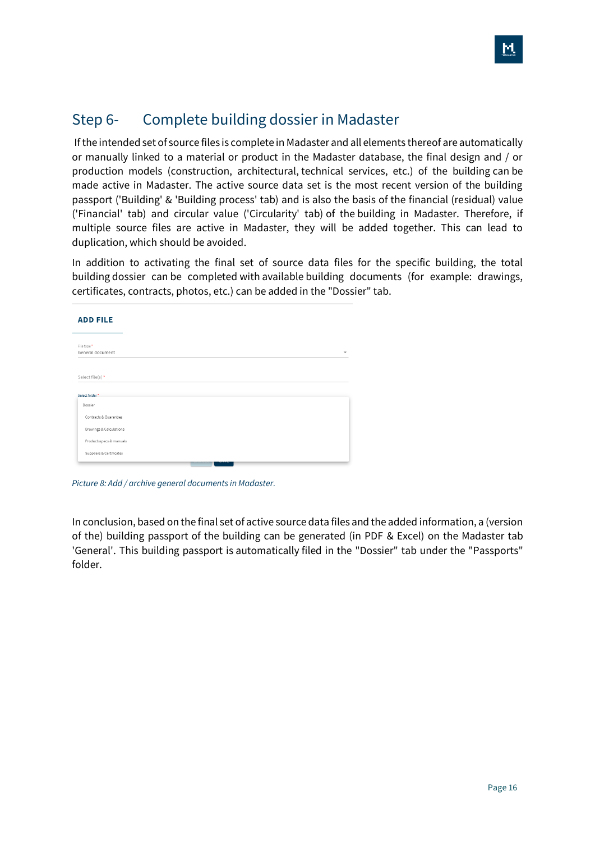### <span id="page-15-0"></span>Step 6- Complete building dossier in Madaster

If the intended set of source files is complete in Madaster and all elements thereof are automatically or manually linked to a material or product in the Madaster database, the final design and / or production models (construction, architectural, technical services, etc.) of the building can be made active in Madaster. The active source data set is the most recent version of the building passport ('Building' & 'Building process' tab) and is also the basis of the financial (residual) value ('Financial' tab) and circular value ('Circularity' tab) of the building in Madaster. Therefore, if multiple source files are active in Madaster, they will be added together. This can lead to duplication, which should be avoided.

In addition to activating the final set of source data files for the specific building, the total building dossier can be completed with available building documents (for example: drawings, certificates, contracts, photos, etc.) can be added in the "Dossier" tab.

| <b>ADD FILE</b>                 |  |  |                          |
|---------------------------------|--|--|--------------------------|
| File type *<br>General document |  |  | $\overline{\phantom{a}}$ |
| Select file(s) *                |  |  |                          |
| Select folder*                  |  |  |                          |
| Dossier                         |  |  |                          |
| Contracts & Guaranties          |  |  |                          |
| Drawings & Calculations         |  |  |                          |
| Productsspecs & manuals         |  |  |                          |
| Suppliers & Certificates        |  |  |                          |
|                                 |  |  |                          |

*Picture 8: Add / archive general documents in Madaster.*

In conclusion, based on the final set of active source data files and the added information, a (version of the) building passport of the building can be generated (in PDF & Excel) on the Madaster tab 'General'. This building passport is automatically filed in the "Dossier" tab under the "Passports" folder.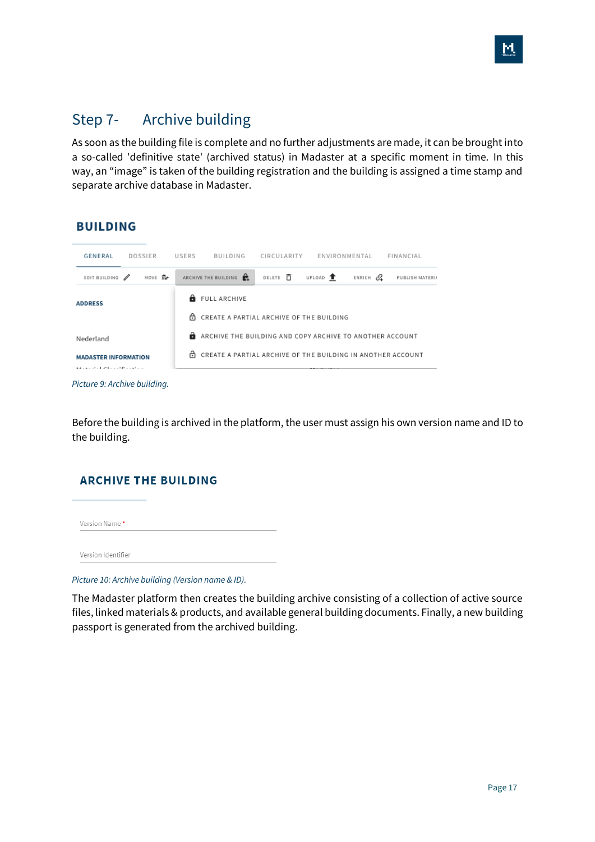### <span id="page-16-0"></span>Step 7- Archive building

As soon as the building file is complete and no further adjustments are made, it can be brought into a so-called 'definitive state' (archived status) in Madaster at a specific moment in time. In this way, an "image" is taken of the building registration and the building is assigned a time stamp and separate archive database in Madaster.



*Picture 9: Archive building.*

Before the building is archived in the platform, the user must assign his own version name and ID to the building.

#### **ARCHIVE THE BUILDING**

| Version Name* |  |  |
|---------------|--|--|
|               |  |  |

Version Identifier

*Picture 10: Archive building (Version name & ID).*

The Madaster platform then creates the building archive consisting of a collection of active source files, linked materials & products, and available general building documents. Finally, a new building passport is generated from the archived building.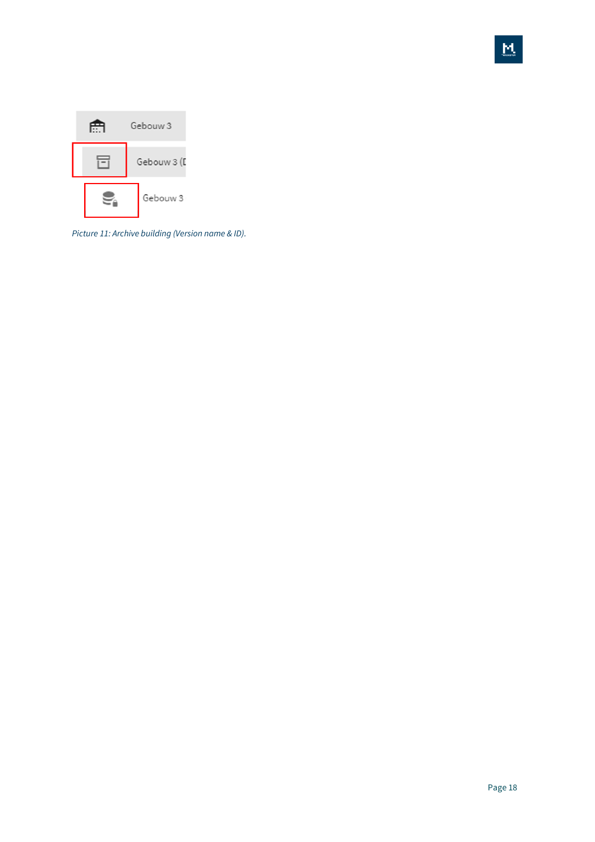

*Picture 11: Archive building (Version name & ID).*